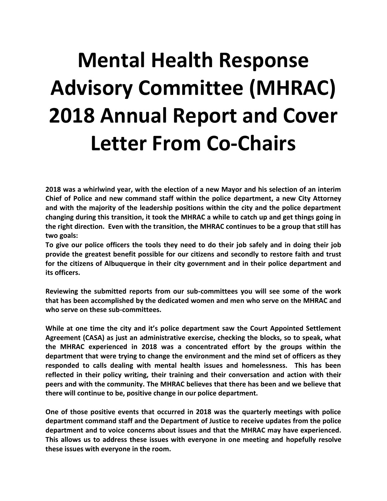## **Mental Health Response Advisory Committee (MHRAC) 2018 Annual Report and Cover Letter From Co-Chairs**

**2018 was a whirlwind year, with the election of a new Mayor and his selection of an interim Chief of Police and new command staff within the police department, a new City Attorney and with the majority of the leadership positions within the city and the police department changing during this transition, it took the MHRAC a while to catch up and get things going in the right direction. Even with the transition, the MHRAC continues to be a group that still has two goals:**

**To give our police officers the tools they need to do their job safely and in doing their job provide the greatest benefit possible for our citizens and secondly to restore faith and trust for the citizens of Albuquerque in their city government and in their police department and its officers.** 

**Reviewing the submitted reports from our sub-committees you will see some of the work that has been accomplished by the dedicated women and men who serve on the MHRAC and who serve on these sub-committees.** 

**While at one time the city and it's police department saw the Court Appointed Settlement Agreement (CASA) as just an administrative exercise, checking the blocks, so to speak, what the MHRAC experienced in 2018 was a concentrated effort by the groups within the department that were trying to change the environment and the mind set of officers as they responded to calls dealing with mental health issues and homelessness. This has been reflected in their policy writing, their training and their conversation and action with their peers and with the community. The MHRAC believes that there has been and we believe that there will continue to be, positive change in our police department.** 

**One of those positive events that occurred in 2018 was the quarterly meetings with police department command staff and the Department of Justice to receive updates from the police department and to voice concerns about issues and that the MHRAC may have experienced. This allows us to address these issues with everyone in one meeting and hopefully resolve these issues with everyone in the room.**